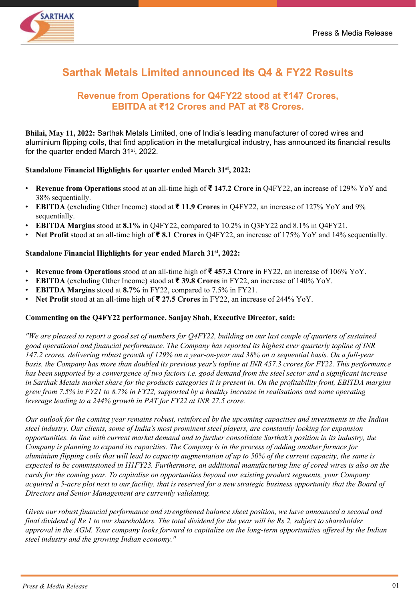

# **Sarthak Metals Limited announced its Q4 & FY22 Results**

## **Revenue from Operations for Q4FY22 stood at ₹147 Crores, EBITDA at ₹12 Crores and PAT at ₹8 Crores.**

**Bhilai, May 11, 2022:** Sarthak Metals Limited, one of India's leading manufacturer of cored wires and aluminium flipping coils, that find application in the metallurgical industry, has announced its financial results for the quarter ended March 31st, 2022.

### **Standalone Financial Highlights for quarter ended March 31st, 2022:**

- **Revenue from Operations** stood at an all-time high of **₹ 147.2 Crore** in Q4FY22, an increase of 129% YoY and 38% sequentially.
- **EBITDA** (excluding Other Income) stood at **₹ 11.9 Crores** in Q4FY22, an increase of 127% YoY and 9% sequentially.
- **EBITDA Margins** stood at **8.1%** in Q4FY22, compared to 10.2% in Q3FY22 and 8.1% in Q4FY21.
- **Net Profit** stood at an all-time high of **₹ 8.1 Crores** in Q4FY22, an increase of 175% YoY and 14% sequentially.

### **Standalone Financial Highlights for year ended March 31st, 2022:**

- **Revenue from Operations** stood at an all-time high of **₹ 457.3 Crore** in FY22, an increase of 106% YoY.
- **EBITDA** (excluding Other Income) stood at **₹ 39.8 Crores** in FY22, an increase of 140% YoY.
- **EBITDA Margins** stood at **8.7%** in FY22, compared to 7.5% in FY21.
- **Net Profit** stood at an all-time high of **₹ 27.5 Crores** in FY22, an increase of 244% YoY.

#### **Commenting on the Q4FY22 performance, Sanjay Shah, Executive Director, said:**

*"We are pleased to report a good set of numbers for Q4FY22, building on our last couple of quarters of sustained good operational and financial performance. The Company has reported its highest ever quarterly topline of INR 147.2 crores, delivering robust growth of 129% on a year-on-year and 38% on a sequential basis. On a full-year basis, the Company has more than doubled its previous year's topline at INR 457.3 crores for FY22. This performance has been supported by a convergence of two factors i.e. good demand from the steel sector and a significant increase in Sarthak Metals market share for the products categories it is present in. On the profitability front, EBITDA margins grew from 7.5% in FY21 to 8.7% in FY22, supported by a healthy increase in realisations and some operating leverage leading to a 244% growth in PAT for FY22 at INR 27.5 crore.*

*Our outlook for the coming year remains robust, reinforced by the upcoming capacities and investments in the Indian steel industry. Our clients, some of India's most prominent steel players, are constantly looking for expansion opportunities. In line with current market demand and to further consolidate Sarthak's position in its industry, the Company is planning to expand its capacities. The Company is in the process of adding another furnace for aluminium flipping coils that will lead to capacity augmentation of up to 50% of the current capacity, the same is expected to be commissioned in H1FY23. Furthermore, an additional manufacturing line of cored wires is also on the cards for the coming year. To capitalise on opportunities beyond our existing product segments, your Company acquired a 5-acre plot next to our facility, that is reserved for a new strategic business opportunity that the Board of Directors and Senior Management are currently validating.*

*Given our robust financial performance and strengthened balance sheet position, we have announced a second and final dividend of Re 1 to our shareholders. The total dividend for the year will be Rs 2, subject to shareholder approval in the AGM. Your company looks forward to capitalize on the long-term opportunities offered by the Indian steel industry and the growing Indian economy."*